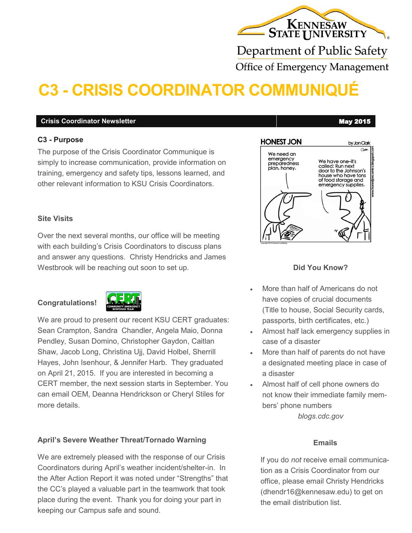# KENNESAW

Department of Public Safety **Office of Emergency Management** 

# **C3 - CRISIS COORDINATOR COMMUNIQUÉ**

#### **Crisis Coordinator Newsletter** May 2015

#### **C3 - Purpose**

The purpose of the Crisis Coordinator Communique is simply to increase communication, provide information on training, emergency and safety tips, lessons learned, and other relevant information to KSU Crisis Coordinators.

#### **Site Visits**

Over the next several months, our office will be meeting with each building's Crisis Coordinators to discuss plans and answer any questions. Christy Hendricks and James Westbrook will be reaching out soon to set up.

### **Congratulations!**



We are proud to present our recent KSU CERT graduates: Sean Crampton, Sandra Chandler, Angela Maio, Donna Pendley, Susan Domino, Christopher Gaydon, Caitlan Shaw, Jacob Long, Christina Ujj, David Holbel, Sherrill Hayes, John Isenhour, & Jennifer Harb. They graduated on April 21, 2015. If you are interested in becoming a CERT member, the next session starts in September. You can email OEM, Deanna Hendrickson or Cheryl Stiles for more details.

### **April's Severe Weather Threat/Tornado Warning**

We are extremely pleased with the response of our Crisis Coordinators during April's weather incident/shelter-in. In the After Action Report it was noted under "Strengths" that the CC's played a valuable part in the teamwork that took place during the event. Thank you for doing your part in keeping our Campus safe and sound.

#### **HONEST JON** by Jon Clark  $\overline{C}$ We need an emergency We have one-it's<br>called: Run next preparedness plan, honey. door to the Johnson's house who have tons<br>of food storage and emergency supplies.

### **Did You Know?**

- More than half of Americans do not have copies of crucial documents (Title to house, Social Security cards, passports, birth certificates, etc.)
- Almost half lack emergency supplies in case of a disaster
- More than half of parents do not have a designated meeting place in case of a disaster
- Almost half of cell phone owners do not know their immediate family members' phone numbers *blogs.cdc.gov*

#### **Emails**

If you do *not* receive email communication as a Crisis Coordinator from our office, please email Christy Hendricks (dhendr16@kennesaw.edu) to get on the email distribution list.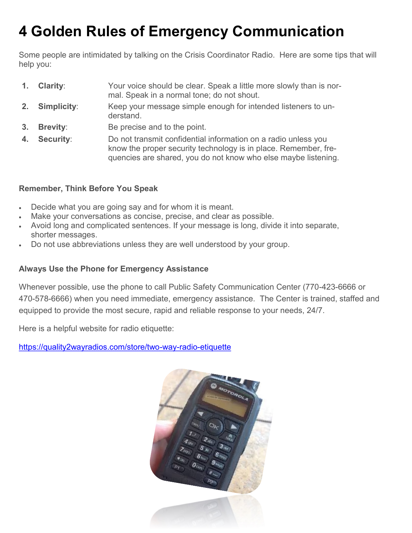# **4 Golden Rules of Emergency Communication**

Some people are intimidated by talking on the Crisis Coordinator Radio. Here are some tips that will help you:

- **1. Clarity**: Your voice should be clear. Speak a little more slowly than is normal. Speak in a normal tone; do not shout.
- **2. Simplicity**: Keep your message simple enough for intended listeners to understand.
- **3. Brevity**: Be precise and to the point.
- **4. Security**: Do not transmit confidential information on a radio unless you know the proper security technology is in place. Remember, frequencies are shared, you do not know who else maybe listening.

# **Remember, Think Before You Speak**

- Decide what you are going say and for whom it is meant.
- Make your conversations as concise, precise, and clear as possible.
- Avoid long and complicated sentences. If your message is long, divide it into separate, shorter messages.
- Do not use abbreviations unless they are well understood by your group.

# **Always Use the Phone for Emergency Assistance**

Whenever possible, use the phone to call Public Safety Communication Center (770-423-6666 or 470-578-6666) when you need immediate, emergency assistance. The Center is trained, staffed and equipped to provide the most secure, rapid and reliable response to your needs, 24/7.

Here is a helpful website for radio etiquette:

[https://quality2wayradios.com/store/two](https://quality2wayradios.com/store/two-way-radio-etiquette)-way-radio-etiquette